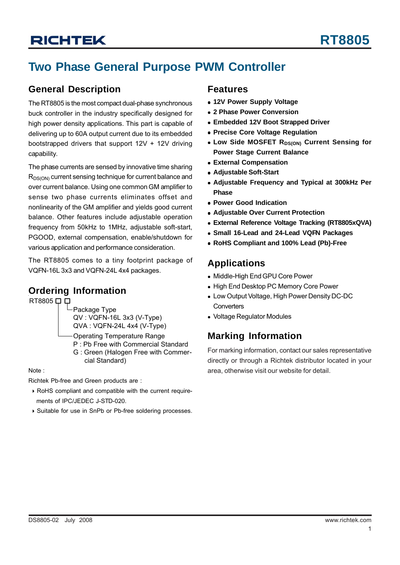## **Two Phase General Purpose PWM Controller**

### **General Description**

The RT8805 is the most compact dual-phase synchronous buck controller in the industry specifically designed for high power density applications. This part is capable of delivering up to 60A output current due to its embedded bootstrapped drivers that support  $12V + 12V$  driving capability.

The phase currents are sensed by innovative time sharing R<sub>DS(ON)</sub> current sensing technique for current balance and over current balance. Using one common GM amplifier to sense two phase currents eliminates offset and nonlinearity of the GM amplifier and yields good current balance. Other features include adjustable operation frequency from 50kHz to 1MHz, adjustable soft-start, PGOOD, external compensation, enable/shutdown for various application and performance consideration.

The RT8805 comes to a tiny footprint package of VQFN-16L 3x3 and VQFN-24L 4x4 packages.

### **Ordering Information**

RT8805 □ □

Package Type QV : VQFN-16L 3x3 (V-Type) QVA : VQFN-24L 4x4 (V-Type)

- Operating Temperature Range
- P : Pb Free with Commercial Standard
- G : Green (Halogen Free with Commer cial Standard)

Note :

Richtek Pb-free and Green products are :

- ` RoHS compliant and compatible with the current require ments of IPC/JEDEC J-STD-020.
- ` Suitable for use in SnPb or Pb-free soldering processes.

### **Features**

- **12V Power Supply Voltage**
- <sup>z</sup> **2 Phase Power Conversion**
- **Embedded 12V Boot Strapped Driver**
- **Precise Core Voltage Regulation**
- **. Low Side MOSFET RDS(ON) Current Sensing for Power Stage Current Balance**
- $\bullet$  **External Compensation**
- **Adjustable Soft-Start**
- **Adjustable Frequency and Typical at 300kHz Per Phase**
- **Power Good Indication**
- **Adjustable Over Current Protection**
- **External Reference Voltage Tracking (RT8805xQVA)**
- <sup>z</sup> **Small 16-Lead and 24-Lead VQFN Packages**
- <sup>z</sup> **RoHS Compliant and 100% Lead (Pb)-Free**

### **Applications**

- Middle-High End GPU Core Power
- High End Desktop PC Memory Core Power
- Low Output Voltage, High Power Density DC-DC **Converters**
- Voltage Regulator Modules

### **Marking Information**

For marking information, contact our sales representative directly or through a Richtek distributor located in your area, otherwise visit our website for detail.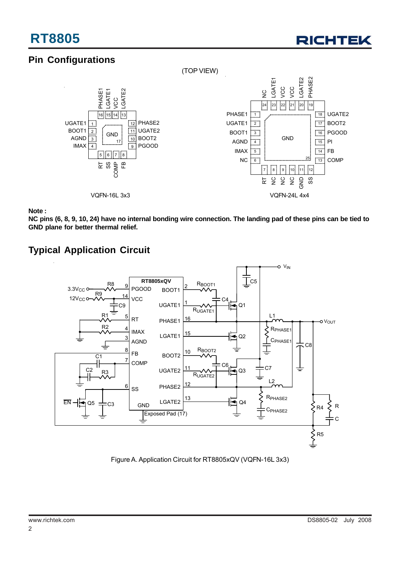

## **Pin Configurations**



**Note :**

**NC pins (6, 8, 9, 10, 24) have no internal bonding wire connection. The landing pad of these pins can be tied to GND plane for better thermal relief.**

## **Typical Application Circuit**



Figure A. Application Circuit for RT8805xQV (VQFN-16L 3x3)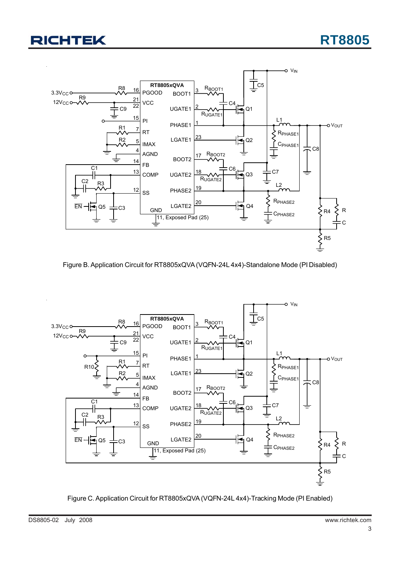

Figure B. Application Circuit for RT8805xQVA (VQFN-24L 4x4)-Standalone Mode (PI Disabled)



Figure C. Application Circuit for RT8805xQVA (VQFN-24L 4x4)-Tracking Mode (PI Enabled)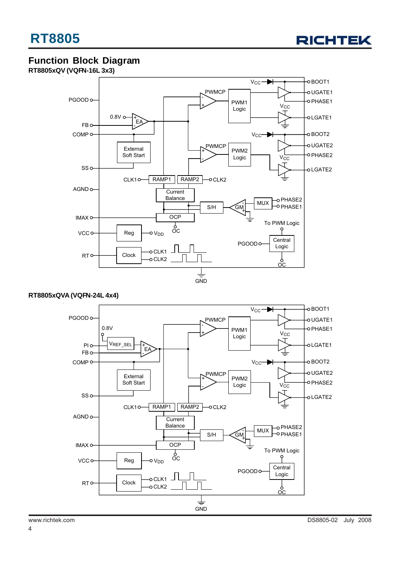

## **Function Block Diagram**

**RT8805xQV (VQFN-16L 3x3)**



#### **RT8805xQVA (VQFN-24L 4x4)**

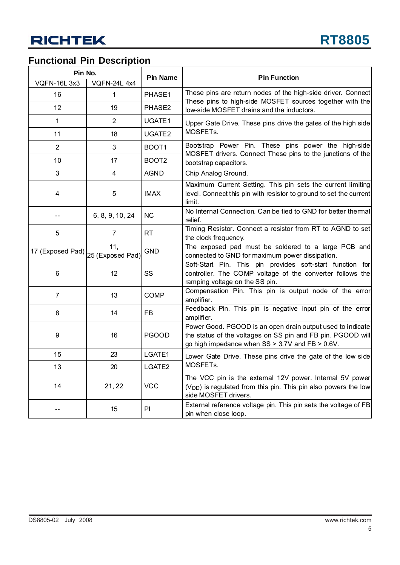## **Functional Pin Description**

| Pin No.            |                         | <b>Pin Name</b>   | <b>Pin Function</b>                                                                                                                                                               |  |  |
|--------------------|-------------------------|-------------------|-----------------------------------------------------------------------------------------------------------------------------------------------------------------------------------|--|--|
| <b>VQFN-16L3x3</b> | <b>VQFN-24L 4x4</b>     |                   |                                                                                                                                                                                   |  |  |
| 16                 | 1                       | PHASE1            | These pins are return nodes of the high-side driver. Connect<br>These pins to high-side MOSFET sources together with the                                                          |  |  |
| 12                 | 19                      | PHASE2            | low-side MOSFET drains and the inductors.                                                                                                                                         |  |  |
| 1                  | 2                       | UGATE1            | Upper Gate Drive. These pins drive the gates of the high side                                                                                                                     |  |  |
| 11                 | 18                      | UGATE2            | MOSFET <sub>s.</sub>                                                                                                                                                              |  |  |
| 2                  | 3                       | BOOT1             | Bootstrap Power Pin. These pins power the high-side<br>MOSFET drivers. Connect These pins to the junctions of the                                                                 |  |  |
| 10                 | 17                      | BOOT <sub>2</sub> | bootstrap capacitors.                                                                                                                                                             |  |  |
| 3                  | 4                       | <b>AGND</b>       | Chip Analog Ground.                                                                                                                                                               |  |  |
| 4                  | 5                       | <b>IMAX</b>       | Maximum Current Setting. This pin sets the current limiting<br>level. Connect this pin with resistor to ground to set the current<br>limit.                                       |  |  |
|                    | 6, 8, 9, 10, 24         | <b>NC</b>         | No Internal Connection. Can be tied to GND for better thermal<br>relief.                                                                                                          |  |  |
| 5                  | $\overline{7}$          | RT                | Timing Resistor. Connect a resistor from RT to AGND to set<br>the clock frequency.                                                                                                |  |  |
| 17 (Exposed Pad)   | 11,<br>25 (Exposed Pad) | <b>GND</b>        | The exposed pad must be soldered to a large PCB and<br>connected to GND for maximum power dissipation.                                                                            |  |  |
| 6                  | 12                      | SS                | Soft-Start Pin. This pin provides soft-start function for<br>controller. The COMP voltage of the converter follows the<br>ramping voltage on the SS pin.                          |  |  |
| $\overline{7}$     | 13                      | <b>COMP</b>       | Compensation Pin. This pin is output node of the error<br>amplifier.                                                                                                              |  |  |
| 8                  | 14                      | FB                | Feedback Pin. This pin is negative input pin of the error<br>amplifier.                                                                                                           |  |  |
| 9                  | 16                      | <b>PGOOD</b>      | Power Good. PGOOD is an open drain output used to indicate<br>the status of the voltages on SS pin and FB pin. PGOOD will<br>go high impedance when $SS > 3.7V$ and $FB > 0.6V$ . |  |  |
| 15                 | 23                      | LGATE1            | Lower Gate Drive. These pins drive the gate of the low side                                                                                                                       |  |  |
| 13                 | 20                      | LGATE2            | MOSFETs.                                                                                                                                                                          |  |  |
| 14                 | 21, 22                  | <b>VCC</b>        | The VCC pin is the external 12V power. Internal 5V power<br>(V <sub>DD</sub> ) is regulated from this pin. This pin also powers the low<br>side MOSFET drivers.                   |  |  |
|                    | 15                      | PI                | External reference voltage pin. This pin sets the voltage of FB<br>pin when close loop.                                                                                           |  |  |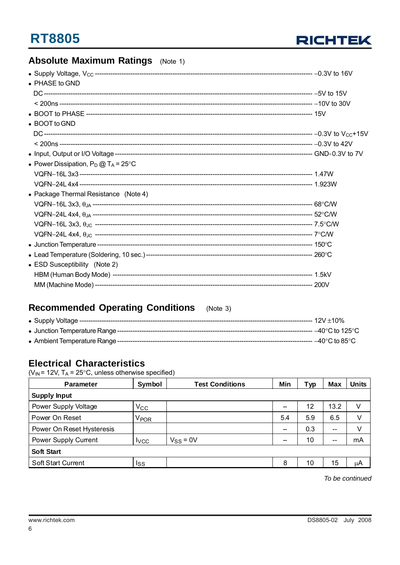

## **Absolute Maximum Ratings** (Note 1)

| $\bullet$ PHASE to GND                         |  |
|------------------------------------------------|--|
|                                                |  |
|                                                |  |
|                                                |  |
| • BOOT to GND                                  |  |
|                                                |  |
|                                                |  |
|                                                |  |
| • Power Dissipation, $P_D @ T_A = 25^{\circ}C$ |  |
|                                                |  |
|                                                |  |
| • Package Thermal Resistance (Note 4)          |  |
|                                                |  |
|                                                |  |
|                                                |  |
|                                                |  |
|                                                |  |
|                                                |  |
| • ESD Susceptibility (Note 2)                  |  |
|                                                |  |
|                                                |  |

#### **Recommended Operating Conditions**  $(Note 3)$

| • Junction Temperature Range ------ | $-40^{\circ}$ C to 125 $^{\circ}$ C |
|-------------------------------------|-------------------------------------|
|                                     | ------ –40°C to 85°Ր                |

### **Electrical Characteristics**

 $(V_{IN} = 12V, T_A = 25^{\circ}C,$  unless otherwise specified)

| <b>Parameter</b>            | Symbol           | <b>Test Conditions</b> | Min | Typ | <b>Max</b>        | <b>Units</b> |  |
|-----------------------------|------------------|------------------------|-----|-----|-------------------|--------------|--|
| <b>Supply Input</b>         |                  |                        |     |     |                   |              |  |
| Power Supply Voltage        | $V_{\rm CC}$     |                        |     | 12  | 13.2              |              |  |
| Power On Reset              | V <sub>POR</sub> |                        | 5.4 | 5.9 | 6.5               | V            |  |
| Power On Reset Hysteresis   |                  |                        |     | 0.3 | $\qquad \qquad -$ | V            |  |
| <b>Power Supply Current</b> | <b>I</b> vcc     | $V_{SS} = 0V$          |     | 10  | $- -$             | mA           |  |
| <b>Soft Start</b>           |                  |                        |     |     |                   |              |  |
| Soft Start Current          | Iss              |                        | 8   | 10  | 15                | μA           |  |

To be continued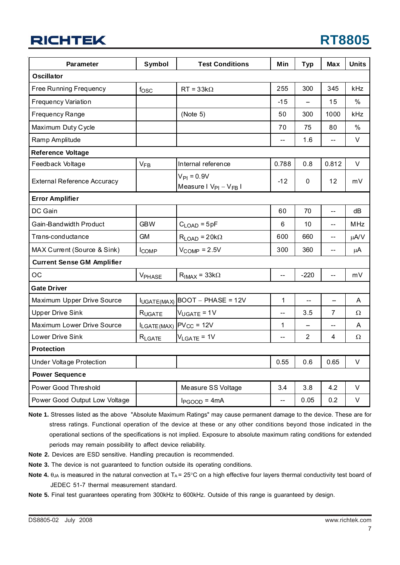## **RT8805**

| <b>Parameter</b>                   | <b>Symbol</b>         | <b>Test Conditions</b>                           | Min            | <b>Typ</b>     | <b>Max</b>               | <b>Units</b> |
|------------------------------------|-----------------------|--------------------------------------------------|----------------|----------------|--------------------------|--------------|
| <b>Oscillator</b>                  |                       |                                                  |                |                |                          |              |
| Free Running Frequency             | fosc                  | $RT = 33k\Omega$                                 | 255            | 300            | 345                      | kHz          |
| <b>Frequency Variation</b>         |                       |                                                  | $-15$          |                | 15                       | $\%$         |
| Frequency Range                    |                       | (Note 5)                                         | 50             | 300            | 1000                     | kHz          |
| Maximum Duty Cycle                 |                       |                                                  | 70             | 75             | 80                       | $\%$         |
| Ramp Amplitude                     |                       |                                                  | ш.,            | 1.6            |                          | V            |
| <b>Reference Voltage</b>           |                       |                                                  |                |                |                          |              |
| Feedback Voltage                   | <b>V<sub>FB</sub></b> | Internal reference                               | 0.788          | 0.8            | 0.812                    | V            |
| <b>External Reference Accuracy</b> |                       | $V_{PI} = 0.9V$<br>Measure I $V_{PI} - V_{FB}$ I | $-12$          | 0              | 12                       | mV           |
| <b>Error Amplifier</b>             |                       |                                                  |                |                |                          |              |
| DC Gain                            |                       |                                                  | 60             | 70             | $-$                      | dB           |
| Gain-Bandwidth Product             | <b>GBW</b>            | $C_{\text{LOAD}} = 5pF$                          | 6              | 10             | $-$                      | <b>MHz</b>   |
| Trans-conductance                  | <b>GM</b>             | $R_{LOAD} = 20k\Omega$                           | 600            | 660            | --                       | μA/V         |
| MAX Current (Source & Sink)        | <b>ICOMP</b>          | $V_{\text{COMP}} = 2.5V$                         | 300            | 360            | $-$                      | $\mu$ A      |
| <b>Current Sense GM Amplifier</b>  |                       |                                                  |                |                |                          |              |
| OC                                 | VPHASE                | $R_{IMAX} = 33k\Omega$                           | $\overline{a}$ | $-220$         | -−                       | mV           |
| <b>Gate Driver</b>                 |                       |                                                  |                |                |                          |              |
| Maximum Upper Drive Source         |                       | $I_{UGATE(MAX)}$ BOOT - PHASE = 12V              | 1              | $\overline{a}$ | $\overline{\phantom{m}}$ | A            |
| <b>Upper Drive Sink</b>            | RUGATE                | $V_{UGATE} = 1V$                                 | $-$            | 3.5            | $\overline{7}$           | Ω            |
| Maximum Lower Drive Source         |                       | ILGATE (MAX) PVcc = 12V                          | 1              |                | --                       | A            |
| Lower Drive Sink                   | RLGATE                | $V_{LGATE} = 1V$                                 | --             | $\overline{2}$ | 4                        | Ω            |
| <b>Protection</b>                  |                       |                                                  |                |                |                          |              |
| <b>Under Voltage Protection</b>    |                       |                                                  | 0.55           | 0.6            | 0.65                     | $\vee$       |
| <b>Power Sequence</b>              |                       |                                                  |                |                |                          |              |
| Power Good Threshold               |                       | Measure SS Voltage                               | 3.4            | 3.8            | 4.2                      | V            |
| Power Good Output Low Voltage      |                       | $I_{PGOOD} = 4mA$                                | $\overline{a}$ | 0.05           | 0.2                      | $\vee$       |

**Note 1.** Stresses listed as the above "Absolute Maximum Ratings" may cause permanent damage to the device. These are for stress ratings. Functional operation of the device at these or any other conditions beyond those indicated in the operational sections of the specifications is not implied. Exposure to absolute maximum rating conditions for extended periods may remain possibility to affect device reliability.

**Note 2.** Devices are ESD sensitive. Handling precaution is recommended.

**Note 3.** The device is not guaranteed to function outside its operating conditions.

**Note 4.**  $\theta_{JA}$  is measured in the natural convection at  $T_A = 25^\circ \text{C}$  on a high effective four layers thermal conductivity test board of JEDEC 51-7 thermal measurement standard.

**Note 5.** Final test guarantees operating from 300kHz to 600kHz. Outside of this range is guaranteed by design.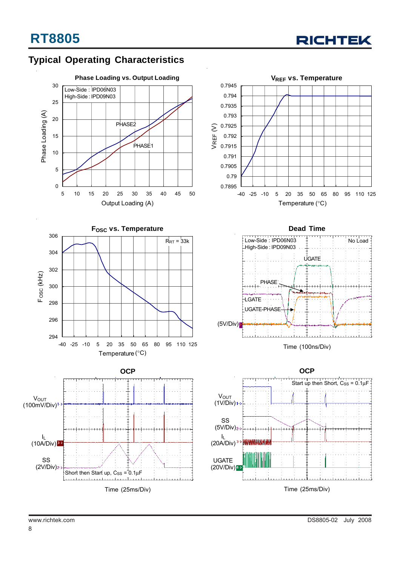

## **Typical Operating Characteristics**





**OCP V**OUT  $(100mV/Div)^1$  $\mathbf{l}_\mathsf{L}$  $(10A/Div)^{3-1}$ SS (2V/Div) Short then Start up,  $Cs = 0.1 \mu F$ Time (25ms/Div)







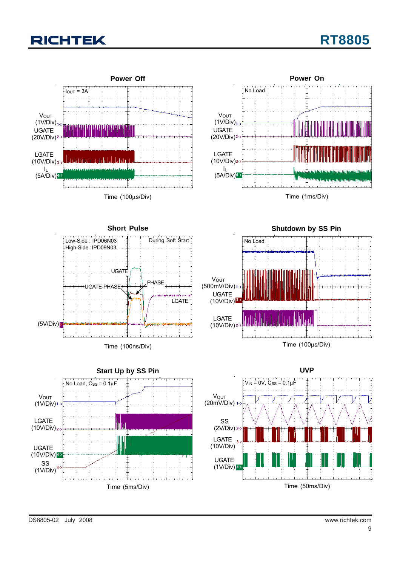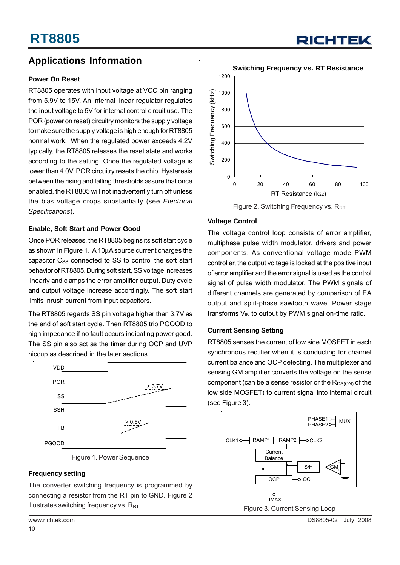## **Applications Information**

#### **Power On Reset**

RT8805 operates with input voltage at VCC pin ranging from 5.9V to 15V. An internal linear regulator regulates the input voltage to 5V for internal control circuit use. The POR (power on reset) circuitry monitors the supply voltage to make sure the supply voltage is high enough for RT8805 normal work. When the regulated power exceeds 4.2V typically, the RT8805 releases the reset state and works according to the setting. Once the regulated voltage is lower than 4.0V, POR circuitry resets the chip. Hysteresis between the rising and falling thresholds assure that once enabled, the RT8805 will not inadvertently turn off unless the bias voltage drops substantially (see *Electrical Specifications*).

#### **Enable, Soft Start and Power Good**

Once POR releases, the RT8805 begins its soft start cycle as shown in Figure 1. A 10μA source current charges the capacitor C<sub>SS</sub> connected to SS to control the soft start behavior of RT8805. During soft start, SS voltage increases linearly and clamps the error amplifier output. Duty cycle and output voltage increase accordingly. The soft start limits inrush current from input capacitors.

The RT8805 regards SS pin voltage higher than 3.7V as the end of soft start cycle. Then RT8805 trip PGOOD to high impedance if no fault occurs indicating power good. The SS pin also act as the timer during OCP and UVP hiccup as described in the later sections.





### **Frequency setting**

The converter switching frequency is programmed by connecting a resistor from the RT pin to GND. Figure 2 illustrates switching frequency vs.  $R_{RT}$ .



Figure 2. Switching Frequency vs. R<sub>RT</sub>

### **Voltage Control**

The voltage control loop consists of error amplifier, multiphase pulse width modulator, drivers and power components. As conventional voltage mode PWM controller, the output voltage is locked at the positive input of error amplifier and the error signal is used as the control signal of pulse width modulator. The PWM signals of different channels are generated by comparison of EA output and split-phase sawtooth wave. Power stage transforms  $V_{IN}$  to output by PWM signal on-time ratio.

#### **Current Sensing Setting**

RT8805 senses the current of low side MOSFET in each synchronous rectifier when it is conducting for channel current balance and OCP detecting. The multiplexer and sensing GM amplifier converts the voltage on the sense component (can be a sense resistor or the  $R_{DS(ON)}$  of the low side MOSFET) to current signal into internal circuit (see Figure 3).



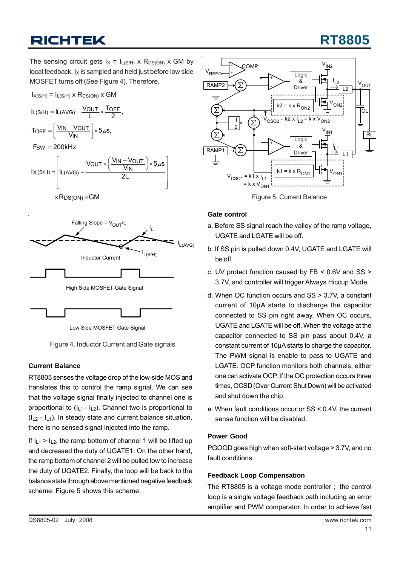# **RT8805**

The sensing circuit gets  $I_X = I_{L(S/H)}$  x R<sub>DS(ON)</sub> x GM by local feedback.  $I_X$  is sampled and held just before low side MOSFET turns off (See Figure 4). Therefore,







Low Side MOSFET Gate Signal

Figure 4. Inductor Current and Gate signals

### **Current Balance**

RT8805 senses the voltage drop of the low-side MOS and translates this to control the ramp signal. We can see that the voltage signal finally injected to channel one is proportional to  $(I_{11} - I_{12})$ . Channel two is proportional to  $(I_{12} - I_{11})$ . In steady state and current balance situation, there is no sensed signal injected into the ramp.

If  $I_{11} > I_{12}$ , the ramp bottom of channel 1 will be lifted up and decreased the duty of UGATE1. On the other hand, the ramp bottom of channel 2 will be pulled low to increase the duty of UGATE2. Finally, the loop will be back to the balance state through above mentioned negative feedback scheme. Figure 5 shows this scheme.



Figure 5. Current Balance

### **Gate control**

- a. Before SS signal reach the valley of the ramp voltage, UGATE and LGATE will be off.
- b. If SS pin is pulled down 0.4V, UGATE and LGATE will be off.
- c. UV protect function caused by FB < 0.6V and SS > 3.7V, and controller will trigger Always Hiccup Mode.
- d. When OC function occurs and SS > 3.7V, a constant current of 10μA starts to discharge the capacitor connected to SS pin right away. When OC occurs, UGATE and LGATE will be off. When the voltage at the capacitor connected to SS pin pass about 0.4V, a constant current of 10μA starts to charge the capacitor. The PWM signal is enable to pass to UGATE and LGATE. OCP function monitors both channels, either one can activate OCP. If the OC protection occurs three times, OCSD (Over Current Shut Down) will be activated and shut down the chip.
- e. When fault conditions occur or SS < 0.4V, the current sense function will be disabled.

### **Power Good**

PGOOD goes high when soft-start voltage > 3.7V, and no fault conditions.

### **Feedback Loop Compensation**

The RT8805 is a voltage mode controller ; the control loop is a single voltage feedback path including an error amplifier and PWM comparator. In order to achieve fast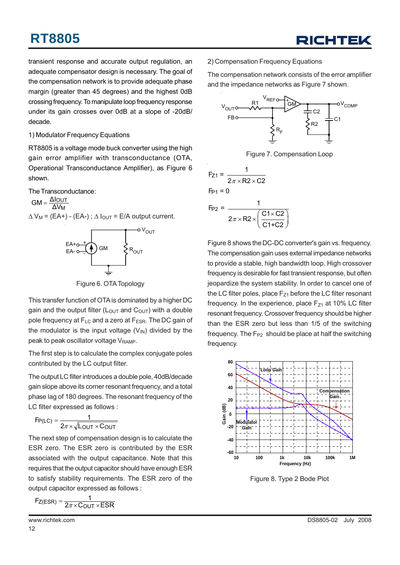transient response and accurate output regulation, an adequate compensator design is necessary. The goal of the compensation network is to provide adequate phase margin (greater than 45 degrees) and the highest 0dB crossing frequency. To manipulate loop frequency response under its gain crosses over 0dB at a slope of -20dB/ decade.

#### 1) Modulator Frequency Equations

RT8805 is a voltage mode buck converter using the high gain error amplifier with transconductance (OTA, Operational Transconductance Amplifier), as Figure 6 shown.

The Transconductance:

 $\Delta V_M$  = (EA+) - (EA-);  $\Delta I_{OUT}$  = E/A output current. M ΔV  $GM = \frac{\Delta I_{OUT}}{\Delta V_{tot}}$ 



Figure 6. OTA Topology

This transfer function of OTA is dominated by a higher DC gain and the output filter  $(L<sub>OUT</sub>$  and  $C<sub>OUT</sub>$ ) with a double pole frequency at  $F_{\text{LC}}$  and a zero at  $F_{\text{ESR}}$ . The DC gain of the modulator is the input voltage  $(V_{N})$  divided by the peak to peak oscillator voltage V<sub>RAMP</sub>.

The first step is to calculate the complex conjugate poles contributed by the LC output filter.

The output LC filter introduces a double pole, 40dB/decade gain slope above its corner resonant frequency, and a total phase lag of 180 degrees. The resonant frequency of the LC filter expressed as follows :

$$
F_{P(LC)} = \frac{1}{2\pi \times \sqrt{L_{OUT} \times C_{OUT}}}
$$

The next step of compensation design is to calculate the ESR zero. The ESR zero is contributed by the ESR associated with the output capacitance. Note that this requires that the output capacitor should have enough ESR to satisfy stability requirements. The ESR zero of the output capacitor expressed as follows :

$$
F_{Z(ESR)} = \frac{1}{2\pi \times COUT \times ESR}
$$

2) Compensation Frequency Equations

The compensation network consists of the error amplifier and the impedance networks as Figure 7 shown.



Figure 7. Compensation Loop

$$
F_{Z1} = \frac{1}{2\pi \times R2 \times C2}
$$
  
\n
$$
F_{P1} = 0
$$
  
\n
$$
F_{P2} = \frac{1}{2\pi \times R2 \times \left(\frac{C1 \times C2}{C1 + C2}\right)}
$$

Figure 8 shows the DC-DC converter's gain vs. frequency. The compensation gain uses external impedance networks to provide a stable, high bandwidth loop. High crossover frequency is desirable for fast transient response, but often jeopardize the system stability. In order to cancel one of the LC filter poles, place  $F_{Z1}$  before the LC filter resonant frequency. In the experience, place  $F_{Z1}$  at 10% LC filter resonant frequency. Crossover frequency should be higher than the ESR zero but less than 1/5 of the switching frequency. The  $F_{P2}$  should be place at half the switching frequency.



Figure 8. Type 2 Bode Plot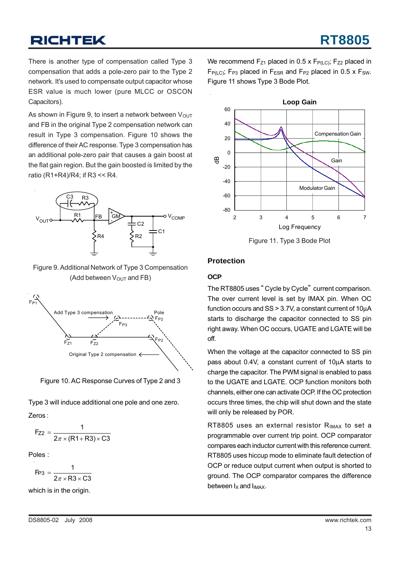There is another type of compensation called Type 3 compensation that adds a pole-zero pair to the Type 2 network. It's used to compensate output capacitor whose ESR value is much lower (pure MLCC or OSCON Capacitors).

As shown in Figure 9, to insert a network between  $V_{\text{OUT}}$ and FB in the original Type 2 compensation network can result in Type 3 compensation. Figure 10 shows the difference of their AC response. Type 3 compensation has an additional pole-zero pair that causes a gain boost at the flat gain region. But the gain boosted is limited by the ratio (R1+R4)/R4; if R3 << R4.



Figure 9. Additional Network of Type 3 Compensation (Add between  $V_{\text{OUT}}$  and FB)



Figure 10. AC Response Curves of Type 2 and 3

Type 3 will induce additional one pole and one zero.

Zeros :

$$
F_{Z2} = \frac{1}{2\pi \times (R1 + R3) \times C3}
$$

Poles :

$$
F_{P3} = \frac{1}{2\pi \times R3 \times C3}
$$

which is in the origin.

We recommend  $F_{Z1}$  placed in 0.5 x  $F_{P(LC)}$ ;  $F_{Z2}$  placed in  $F_{P(1)CD}$ ; F<sub>P3</sub> placed in F<sub>ESR</sub> and F<sub>P2</sub> placed in 0.5 x F<sub>SW</sub>. Figure 11 shows Type 3 Bode Plot.



Figure 11. Type 3 Bode Plot

### **Protection**

### **OCP**

The RT8805 uses " Cycle by Cycle" current comparison. The over current level is set by IMAX pin. When OC function occurs and SS > 3.7V, a constant current of 10μA starts to discharge the capacitor connected to SS pin right away. When OC occurs, UGATE and LGATE will be off.

When the voltage at the capacitor connected to SS pin pass about 0.4V, a constant current of 10μA starts to charge the capacitor. The PWM signal is enabled to pass to the UGATE and LGATE. OCP function monitors both channels, either one can activate OCP. If the OC protection occurs three times, the chip will shut down and the state will only be released by POR.

RT8805 uses an external resistor  $R_{IMAX}$  to set a programmable over current trip point. OCP comparator compares each inductor current with this reference current. RT8805 uses hiccup mode to eliminate fault detection of OCP or reduce output current when output is shorted to ground. The OCP comparator compares the difference between  $I_X$  and  $I_{IMAX}$ .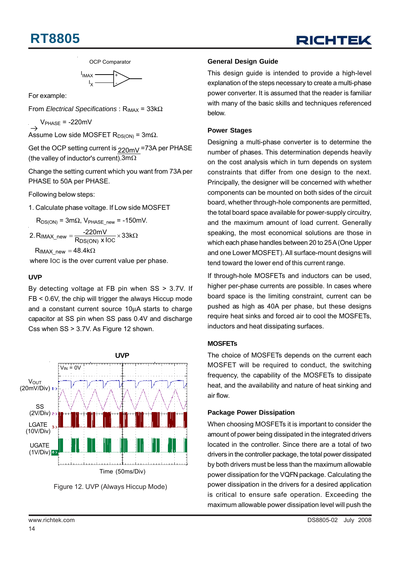## **RT8805**

OCP Comparator

$$
\overbrace{\qquad \qquad }^{I_{IMAX}}_{I_X} \underbrace{\qquad \qquad }_{\qquad \qquad }^{+}
$$

For example:

From *Electrical Specifications*: R<sub>IMAX</sub> = 33kΩ

 $V_{\text{PHASE}}$  = -220mV

Assume Low side MOSFET  $R_{DS(ON)} = 3m\Omega$ .

Get the OCP setting current is <sub>220mV</sub> =73A per PHASE (the valley of inductor's current). 3m $\Omega$ 

Change the setting current which you want from 73A per PHASE to 50A per PHASE.

Following below steps:

1. Calculate phase voltage. If Low side MOSFET

 $R_{DS(ON)} = 3m\Omega$ , V<sub>PHASE new</sub> = -150mV.

 $2\text{.}\ \mathsf{R}_{\mathsf{IMAX\_new}} = \frac{\text{-}220\text{mV}}{\mathsf{R}_{\mathsf{DS(ON)}} \times \mathsf{loc}} \times 33\text{k}\Omega$ 

 $\mathsf{R}_{\mathsf{IMAX\_new}} = 48.4\mathrm{k}\Omega$ 

where IOC is the over current value per phase.

#### **UVP**

By detecting voltage at FB pin when SS > 3.7V. If FB < 0.6V, the chip will trigger the always Hiccup mode and a constant current source 10μA starts to charge capacitor at SS pin when SS pass 0.4V and discharge Css when SS > 3.7V. As Figure 12 shown.



Figure 12. UVP (Always Hiccup Mode)

#### **General Design Guide**

This design guide is intended to provide a high-level explanation of the steps necessary to create a multi-phase power converter. It is assumed that the reader is familiar with many of the basic skills and techniques referenced below.

#### **Power Stages**

Designing a multi-phase converter is to determine the number of phases. This determination depends heavily on the cost analysis which in turn depends on system constraints that differ from one design to the next. Principally, the designer will be concerned with whether components can be mounted on both sides of the circuit board, whether through-hole components are permitted, the total board space available for power-supply circuitry, and the maximum amount of load current. Generally speaking, the most economical solutions are those in which each phase handles between 20 to 25 A (One Upper and one Lower MOSFET). All surface-mount designs will tend toward the lower end of this current range.

If through-hole MOSFETs and inductors can be used, higher per-phase currents are possible. In cases where board space is the limiting constraint, current can be pushed as high as 40A per phase, but these designs require heat sinks and forced air to cool the MOSFETs, inductors and heat dissipating surfaces.

### **MOSFETs**

The choice of MOSFETs depends on the current each MOSFET will be required to conduct, the switching frequency, the capability of the MOSFETs to dissipate heat, and the availability and nature of heat sinking and air flow.

#### **Package Power Dissipation**

When choosing MOSFETs it is important to consider the amount of power being dissipated in the integrated drivers located in the controller. Since there are a total of two drivers in the controller package, the total power dissipated by both drivers must be less than the maximum allowable power dissipation for the VQFN package. Calculating the power dissipation in the drivers for a desired application is critical to ensure safe operation. Exceeding the maximum allowable power dissipation level will push the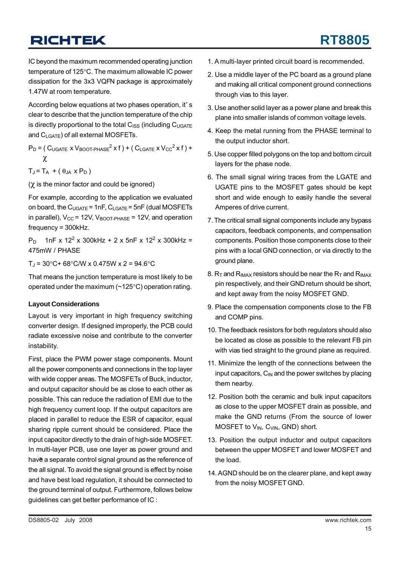IC beyond the maximum recommended operating junction temperature of 125°C. The maximum allowable IC power dissipation for the 3x3 VQFN package is approximately 1.47W at room temperature.

According below equations at two phases operation, it' s clear to describe that the junction temperature of the chip is directly proportional to the total  $C_{ISS}$  (including  $C_{UGATE}$ and CLGATE) of all external MOSFETs.

 $P_D$  = (  $C_{UGATE}$  x  $V_{BOOT\text{-PHASE}}^2$  x f ) + (  $C_{LGATE}$  x  $V_{CC}^2$  x f ) + χ

 $T_J = T_A + (\theta_{JA} \times P_D)$ 

(χ is the minor factor and could be ignored)

For example, according to the application we evaluated on board, the  $C_{UGATE} = 1nF$ ,  $C_{LGATE} = 5nF$  (dual MOSFETs in parallel),  $V_{CC}$  = 12V,  $V_{BOOT-PHASE}$  = 12V, and operation frequency = 300kHz.

 $P_D$  1nF x 12<sup>2</sup> x 300kHz + 2 x 5nF x 12<sup>2</sup> x 300kHz = 475mW / PHASE

 $T_J = 30^{\circ}C + 68^{\circ}C/W \times 0.475W \times 2 = 94.6^{\circ}C$ 

That means the junction temperature is most likely to be operated under the maximum (~125°C) operation rating.

### **Layout Considerations**

Layout is very important in high frequency switching converter design. If designed improperly, the PCB could radiate excessive noise and contribute to the converter instability.

have a separate control signal ground as the reference of First, place the PWM power stage components. Mount all the power components and connections in the top layer with wide copper areas. The MOSFETs of Buck, inductor, and output capacitor should be as close to each other as possible. This can reduce the radiation of EMI due to the high frequency current loop. If the output capacitors are placed in parallel to reduce the ESR of capacitor, equal sharing ripple current should be considered. Place the input capacitor directly to the drain of high-side MOSFET. In multi-layer PCB, use one layer as power ground and the all signal. To avoid the signal ground is effect by noise and have best load regulation, it should be connected to the ground terminal of output. Furthermore, follows below guidelines can get better performance of IC :

- 1. A multi-layer printed circuit board is recommended.
- 2. Use a middle layer of the PC board as a ground plane and making all critical component ground connections through vias to this layer.
- 3. Use another solid layer as a power plane and break this plane into smaller islands of common voltage levels.
- 4. Keep the metal running from the PHASE terminal to the output inductor short.
- 5. Use copper filled polygons on the top and bottom circuit layers for the phase node.
- 6. The small signal wiring traces from the LGATE and UGATE pins to the MOSFET gates should be kept short and wide enough to easily handle the several Amperes of drive current.
- 7. The critical small signal components include any bypass capacitors, feedback components, and compensation components. Position those components close to their pins with a local GND connection, or via directly to the ground plane.
- 8.  $R_T$  and  $R_{IMAX}$  resistors should be near the  $R_T$  and  $R_{IMAX}$ pin respectively, and their GND return should be short, and kept away from the noisy MOSFET GND.
- 9. Place the compensation components close to the FB and COMP pins.
- 10. The feedback resistors for both regulators should also be located as close as possible to the relevant FB pin with vias tied straight to the ground plane as required.
- 11. Minimize the length of the connections between the input capacitors,  $C_{IN}$  and the power switches by placing them nearby.
- 12. Position both the ceramic and bulk input capacitors as close to the upper MOSFET drain as possible, and make the GND returns (From the source of lower MOSFET to V<sub>IN</sub>, C<sub>VIN</sub>, GND) short.
- 13. Position the output inductor and output capacitors between the upper MOSFET and lower MOSFET and the load.
- 14. AGND should be on the clearer plane, and kept away from the noisy MOSFET GND.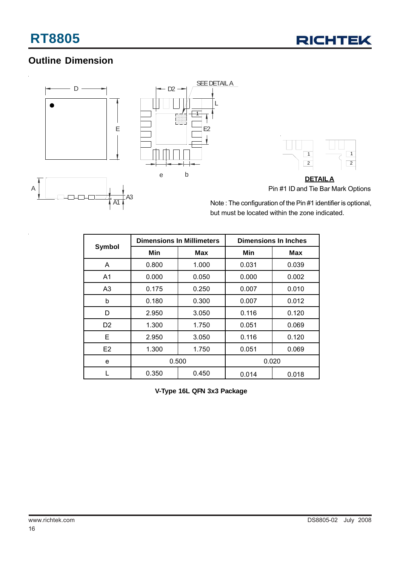## **Outline Dimension**

A1



Note : The configuration of the Pin #1 identifier is optional, but must be located within the zone indicated.

|                |       | <b>Dimensions In Millimeters</b> | <b>Dimensions In Inches</b> |       |  |
|----------------|-------|----------------------------------|-----------------------------|-------|--|
| Symbol         | Min   | Max                              | Min                         | Max   |  |
| A              | 0.800 | 1.000                            | 0.031                       | 0.039 |  |
| A <sub>1</sub> | 0.000 | 0.050                            | 0.000                       | 0.002 |  |
| A <sub>3</sub> | 0.175 | 0.250                            | 0.007                       | 0.010 |  |
| b              | 0.180 | 0.300                            | 0.007                       | 0.012 |  |
| D              | 2.950 | 3.050                            | 0.116                       | 0.120 |  |
| D <sub>2</sub> | 1.300 | 1.750                            | 0.051                       | 0.069 |  |
| Е              | 2.950 | 3.050                            | 0.116                       | 0.120 |  |
| E <sub>2</sub> | 1.300 | 1.750                            | 0.051                       | 0.069 |  |
| e              | 0.500 |                                  | 0.020                       |       |  |
|                | 0.350 | 0.450                            | 0.014                       | 0.018 |  |

**V-Type 16L QFN 3x3 Package**